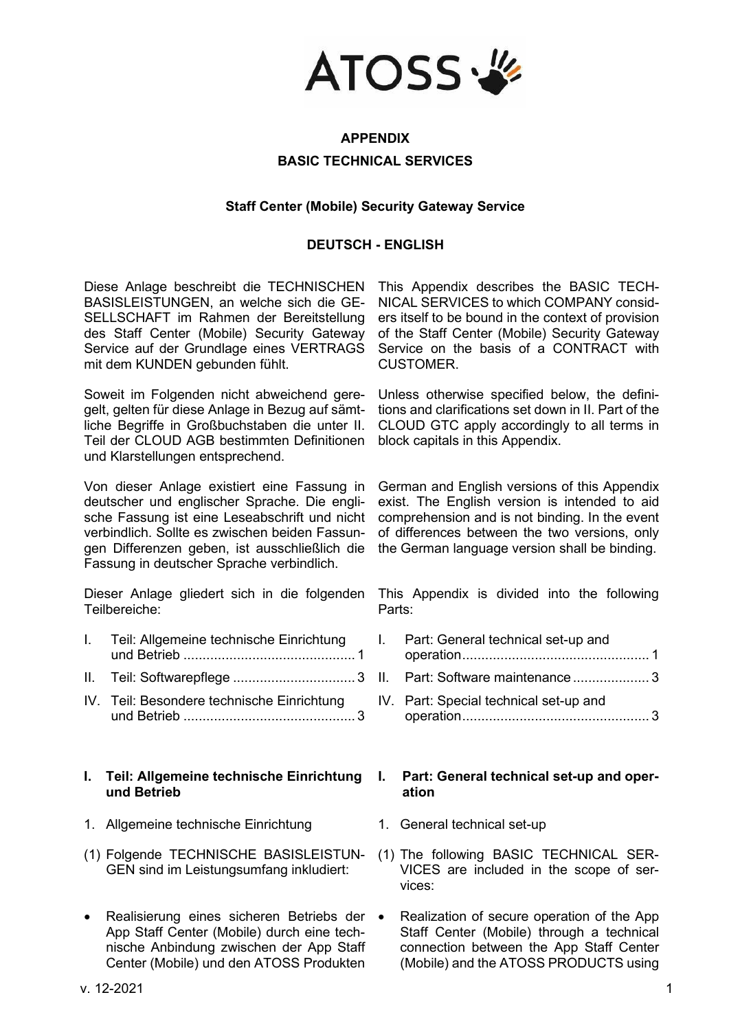

# **APPENDIX BASIC TECHNICAL SERVICES**

#### **Staff Center (Mobile) Security Gateway Service**

### **DEUTSCH - ENGLISH**

Diese Anlage beschreibt die TECHNISCHEN BASISLEISTUNGEN, an welche sich die GE-SELLSCHAFT im Rahmen der Bereitstellung des Staff Center (Mobile) Security Gateway Service auf der Grundlage eines VERTRAGS mit dem KUNDEN gebunden fühlt.

Soweit im Folgenden nicht abweichend geregelt, gelten für diese Anlage in Bezug auf sämtliche Begriffe in Großbuchstaben die unter II. Teil der CLOUD AGB bestimmten Definitionen und Klarstellungen entsprechend.

Von dieser Anlage existiert eine Fassung in deutscher und englischer Sprache. Die englische Fassung ist eine Leseabschrift und nicht verbindlich. Sollte es zwischen beiden Fassungen Differenzen geben, ist ausschließlich die Fassung in deutscher Sprache verbindlich.

Dieser Anlage gliedert sich in die folgenden Teilbereiche:

- I. [Teil: Allgemeine technische Einrichtung](#page-0-0)  und Betrieb [.............................................](#page-0-0) 1
- II. Teil: Softwarepflege ................................ 3
- IV. [Teil: Besondere technische Einrichtung](#page-3-0)  und Betrieb [.............................................](#page-3-0) 3

#### <span id="page-0-0"></span>**I. Teil: Allgemeine technische Einrichtung und Betrieb**

- 1. Allgemeine technische Einrichtung 1. General technical set-up
- (1) Folgende TECHNISCHE BASISLEISTUN-GEN sind im Leistungsumfang inkludiert:
- Realisierung eines sicheren Betriebs der App Staff Center (Mobile) durch eine technische Anbindung zwischen der App Staff Center (Mobile) und den ATOSS Produkten

This Appendix describes the BASIC TECH-NICAL SERVICES to which COMPANY considers itself to be bound in the context of provision of the Staff Center (Mobile) Security Gateway Service on the basis of a CONTRACT with **CUSTOMER** 

Unless otherwise specified below, the definitions and clarifications set down in II. Part of the CLOUD GTC apply accordingly to all terms in block capitals in this Appendix.

German and English versions of this Appendix exist. The English version is intended to aid comprehension and is not binding. In the event of differences between the two versions, only the German language version shall be binding.

This Appendix is divided into the following Parts:

- I. [Part: General technical set-up and](#page-0-1)  [operation.................................................](#page-0-1) [1](#page-0-1)
- II. Part: Software maintenance.................... 3
- IV. [Part: Special technical set-up and](#page-3-1)  [operation.................................................](#page-3-1) 3

#### <span id="page-0-1"></span>**I. Part: General technical set-up and operation**

- 
- (1) The following BASIC TECHNICAL SER-VICES are included in the scope of services:
- Realization of secure operation of the App Staff Center (Mobile) through a technical connection between the App Staff Center (Mobile) and the ATOSS PRODUCTS using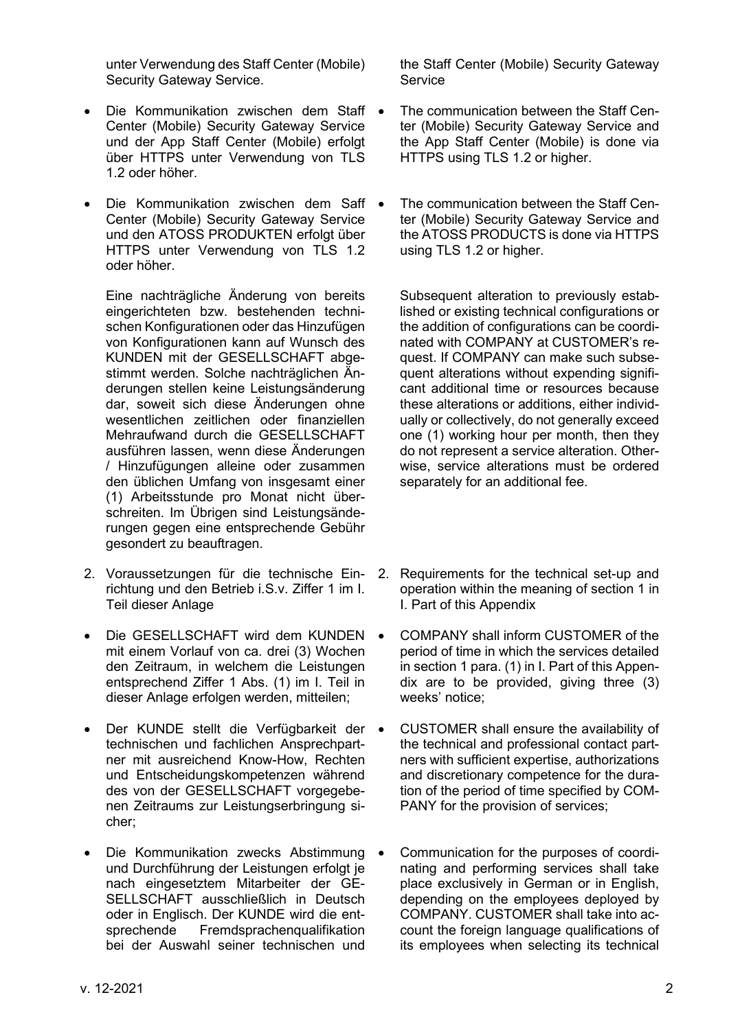unter Verwendung des Staff Center (Mobile) Security Gateway Service.

- Die Kommunikation zwischen dem Staff Center (Mobile) Security Gateway Service und der App Staff Center (Mobile) erfolgt über HTTPS unter Verwendung von TLS 1.2 oder höher.
- Die Kommunikation zwischen dem Saff Center (Mobile) Security Gateway Service und den ATOSS PRODUKTEN erfolgt über HTTPS unter Verwendung von TLS 1.2 oder höher.

Eine nachträgliche Änderung von bereits eingerichteten bzw. bestehenden technischen Konfigurationen oder das Hinzufügen von Konfigurationen kann auf Wunsch des KUNDEN mit der GESELLSCHAFT abgestimmt werden. Solche nachträglichen Änderungen stellen keine Leistungsänderung dar, soweit sich diese Änderungen ohne wesentlichen zeitlichen oder finanziellen Mehraufwand durch die GESELLSCHAFT ausführen lassen, wenn diese Änderungen / Hinzufügungen alleine oder zusammen den üblichen Umfang von insgesamt einer (1) Arbeitsstunde pro Monat nicht überschreiten. Im Übrigen sind Leistungsänderungen gegen eine entsprechende Gebühr gesondert zu beauftragen.

- 2. Voraussetzungen für die technische Einrichtung und den Betrieb i.S.v. Ziffer 1 im [I.](#page-0-0) Teil dieser Anlage
- Die GESELLSCHAFT wird dem KUNDEN mit einem Vorlauf von ca. drei (3) Wochen den Zeitraum, in welchem die Leistungen entsprechend Ziffer 1 Abs. (1) im I. Teil in dieser Anlage erfolgen werden, mitteilen;
- Der KUNDE stellt die Verfügbarkeit der technischen und fachlichen Ansprechpartner mit ausreichend Know-How, Rechten und Entscheidungskompetenzen während des von der GESELLSCHAFT vorgegebenen Zeitraums zur Leistungserbringung sicher;
- Die Kommunikation zwecks Abstimmung und Durchführung der Leistungen erfolgt je nach eingesetztem Mitarbeiter der GE-SELLSCHAFT ausschließlich in Deutsch oder in Englisch. Der KUNDE wird die entsprechende Fremdsprachenqualifikation bei der Auswahl seiner technischen und

the Staff Center (Mobile) Security Gateway **Service** 

- The communication between the Staff Center (Mobile) Security Gateway Service and the App Staff Center (Mobile) is done via HTTPS using TLS 1.2 or higher.
- The communication between the Staff Center (Mobile) Security Gateway Service and the ATOSS PRODUCTS is done via HTTPS using TLS 1.2 or higher.

Subsequent alteration to previously established or existing technical configurations or the addition of configurations can be coordinated with COMPANY at CUSTOMER's request. If COMPANY can make such subsequent alterations without expending significant additional time or resources because these alterations or additions, either individually or collectively, do not generally exceed one (1) working hour per month, then they do not represent a service alteration. Otherwise, service alterations must be ordered separately for an additional fee.

- 2. Requirements for the technical set-up and operation within the meaning of section 1 in I. Part of this Appendix
- COMPANY shall inform CUSTOMER of the period of time in which the services detailed in section 1 para. (1) in I. Part of this Appendix are to be provided, giving three (3) weeks' notice;
- CUSTOMER shall ensure the availability of the technical and professional contact partners with sufficient expertise, authorizations and discretionary competence for the duration of the period of time specified by COM-PANY for the provision of services;
- Communication for the purposes of coordinating and performing services shall take place exclusively in German or in English, depending on the employees deployed by COMPANY. CUSTOMER shall take into account the foreign language qualifications of its employees when selecting its technical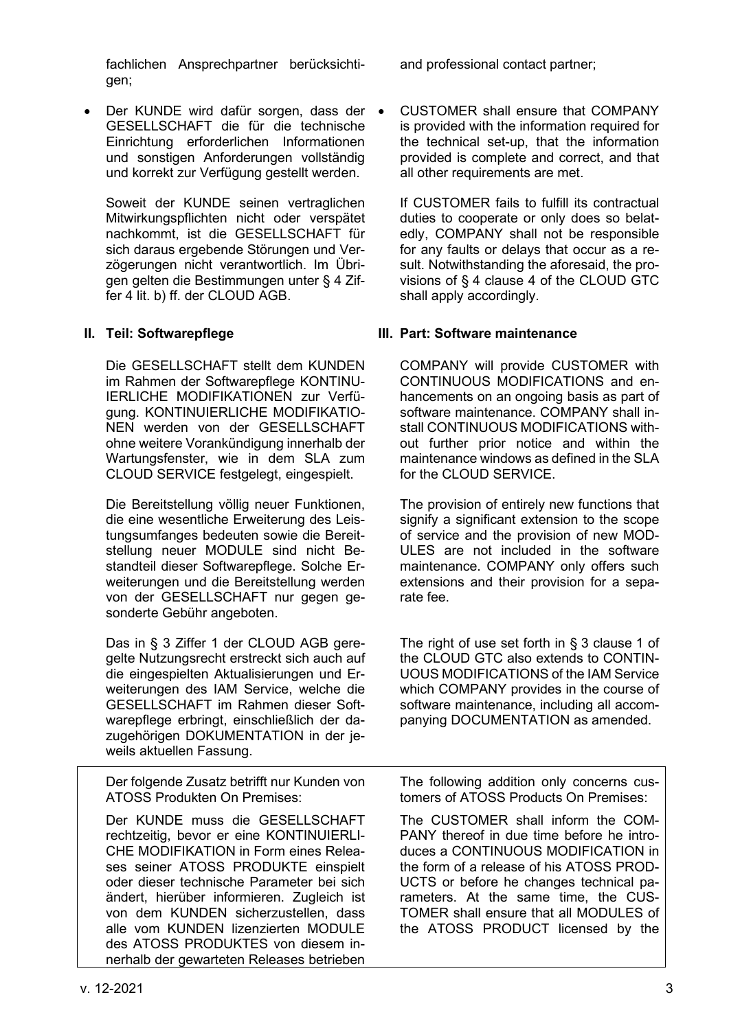fachlichen Ansprechpartner berücksichtigen;

• Der KUNDE wird dafür sorgen, dass der GESELLSCHAFT die für die technische Einrichtung erforderlichen Informationen und sonstigen Anforderungen vollständig und korrekt zur Verfügung gestellt werden.

Soweit der KUNDE seinen vertraglichen Mitwirkungspflichten nicht oder verspätet nachkommt, ist die GESELLSCHAFT für sich daraus ergebende Störungen und Verzögerungen nicht verantwortlich. Im Übrigen gelten die Bestimmungen unter § 4 Ziffer 4 lit. b) ff. der CLOUD AGB.

Die GESELLSCHAFT stellt dem KUNDEN im Rahmen der Softwarepflege KONTINU-IERLICHE MODIFIKATIONEN zur Verfügung. KONTINUIERLICHE MODIFIKATIO-NEN werden von der GESELLSCHAFT ohne weitere Vorankündigung innerhalb der Wartungsfenster, wie in dem SLA zum CLOUD SERVICE festgelegt, eingespielt.

Die Bereitstellung völlig neuer Funktionen, die eine wesentliche Erweiterung des Leistungsumfanges bedeuten sowie die Bereitstellung neuer MODULE sind nicht Bestandteil dieser Softwarepflege. Solche Erweiterungen und die Bereitstellung werden von der GESELLSCHAFT nur gegen gesonderte Gebühr angeboten.

Das in § 3 Ziffer 1 der CLOUD AGB geregelte Nutzungsrecht erstreckt sich auch auf die eingespielten Aktualisierungen und Erweiterungen des IAM Service, welche die GESELLSCHAFT im Rahmen dieser Softwarepflege erbringt, einschließlich der dazugehörigen DOKUMENTATION in der jeweils aktuellen Fassung.

Der folgende Zusatz betrifft nur Kunden von ATOSS Produkten On Premises:

Der KUNDE muss die GESELLSCHAFT rechtzeitig, bevor er eine KONTINUIERLI-CHE MODIFIKATION in Form eines Releases seiner ATOSS PRODUKTE einspielt oder dieser technische Parameter bei sich ändert, hierüber informieren. Zugleich ist von dem KUNDEN sicherzustellen, dass alle vom KUNDEN lizenzierten MODULE des ATOSS PRODUKTES von diesem innerhalb der gewarteten Releases betrieben and professional contact partner;

• CUSTOMER shall ensure that COMPANY is provided with the information required for the technical set-up, that the information provided is complete and correct, and that all other requirements are met.

If CUSTOMER fails to fulfill its contractual duties to cooperate or only does so belatedly, COMPANY shall not be responsible for any faults or delays that occur as a result. Notwithstanding the aforesaid, the provisions of § 4 clause 4 of the CLOUD GTC shall apply accordingly.

## **II. Teil: Softwarepflege III. Part: Software maintenance**

COMPANY will provide CUSTOMER with CONTINUOUS MODIFICATIONS and enhancements on an ongoing basis as part of software maintenance. COMPANY shall install CONTINUOUS MODIFICATIONS without further prior notice and within the maintenance windows as defined in the SLA for the CLOUD SERVICE.

The provision of entirely new functions that signify a significant extension to the scope of service and the provision of new MOD-ULES are not included in the software maintenance. COMPANY only offers such extensions and their provision for a separate fee.

The right of use set forth in § 3 clause 1 of the CLOUD GTC also extends to CONTIN-UOUS MODIFICATIONS of the IAM Service which COMPANY provides in the course of software maintenance, including all accompanying DOCUMENTATION as amended.

The following addition only concerns customers of ATOSS Products On Premises:

The CUSTOMER shall inform the COM-PANY thereof in due time before he introduces a CONTINUOUS MODIFICATION in the form of a release of his ATOSS PROD-UCTS or before he changes technical parameters. At the same time, the CUS-TOMER shall ensure that all MODULES of the ATOSS PRODUCT licensed by the